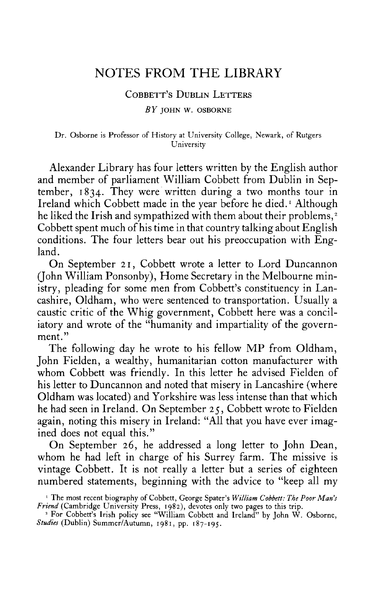# **NOTES FROM THE LIBRARY**

### **COBBETT'S DUBLIN LETTERS**

*BY* **JOHN W. OSBORNE** 

#### **Dr. Osborne is Professor of History at University College, Newark, of Rutgers University**

Alexander Library has four letters written by the English author and member of parliament William Cobbett from Dublin in September, 1834. They were written during a two months tour in Ireland which Cobbett made in the year before he died.<sup>1</sup> Although he liked the Irish and sympathized with them about their problems,<sup>2</sup> Cobbett spent much of his time in that country talking about English conditions. The four letters bear out his preoccupation with England.

On September 21, Cobbett wrote a letter to Lord Duncannon (John William Ponsonby), Home Secretary in the Melbourne ministry, pleading for some men from Cobbett's constituency in Lancashire, Oldham, who were sentenced to transportation. Usually a caustic critic of the Whig government, Cobbett here was a conciliatory and wrote of the "humanity and impartiality of the government."

The following day he wrote to his fellow MP from Oldham, John Fielden, a wealthy, humanitarian cotton manufacturer with whom Cobbett was friendly. In this letter he advised Fielden of his letter to Duncannon and noted that misery in Lancashire (where Oldham was located) and Yorkshire was less intense than that which he had seen in Ireland. On September 25, Cobbett wrote to Fielden again, noting this misery in Ireland: "All that you have ever imagined does not equal this."

On September 26, he addressed a long letter to John Dean, whom he had left in charge of his Surrey farm. The missive is vintage Cobbett. It is not really a letter but a series of eighteen numbered statements, beginning with the advice to "keep all my

**<sup>1</sup> The most recent biography of Cobbett, George Spater's** *William Cobbett: The Poor Man's Friend* **(Cambridge University Press, 1982), devotes only two pages to this trip. 2 For Cobbett's Irish policy see "William Cobbett and Ireland" by John W. Osborne,** 

*Studies* **(Dublin) Summer/Autumn, 1981, pp. 187-195 .**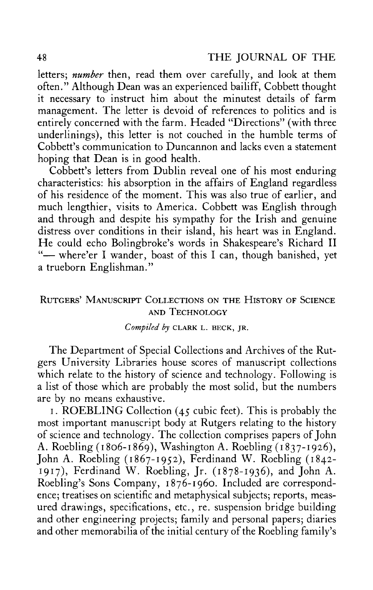letters; *number* then, read them over carefully, and look at them often." Although Dean was an experienced bailiff, Cobbett thought it necessary to instruct him about the minutest details of farm management. The letter is devoid of references to politics and is entirely concerned with the farm. Headed "Directions" (with three underlinings), this letter is not couched in the humble terms of Cobbett's communication to Duncannon and lacks even a statement hoping that Dean is in good health.

Cobbett's letters from Dublin reveal one of his most enduring characteristics: his absorption in the affairs of England regardless of his residence of the moment. This was also true of earlier, and much lengthier, visits to America. Cobbett was English through and through and despite his sympathy for the Irish and genuine distress over conditions in their island, his heart was in England. He could echo Bolingbroke's words in Shakespeare's Richard II "- where'er I wander, boast of this I can, though banished, yet a trueborn Englishman."

# **RUTGERS' MANUSCRIPT COLLECTIONS ON THE HISTORY OF SCIENCE AND TECHNOLOGY**

## *Compiled by* **CLARK L. BECK, JR.**

The Department of Special Collections and Archives of the Rutgers University Libraries house scores of manuscript collections which relate to the history of science and technology. Following is a list of those which are probably the most solid, but the numbers are by no means exhaustive.

1. ROEBLING Collection  $(45 \text{ cubic feet})$ . This is probably the most important manuscript body at Rutgers relating to the history of science and technology. The collection comprises papers of John A. Roebling (1806-1869), Washington A. Roebling (1837-1926), John A. Roebling (1867-1952), Ferdinand W. Roebling (1842- 1917), Ferdinand W. Roebling, Jr. (1878-1936), and John A. Roebling's Sons Company, 1876-1960. Included are correspondence; treatises on scientific and metaphysical subjects; reports, measured drawings, specifications, etc., re. suspension bridge building and other engineering projects; family and personal papers; diaries and other memorabilia of the initial century of the Roebling family's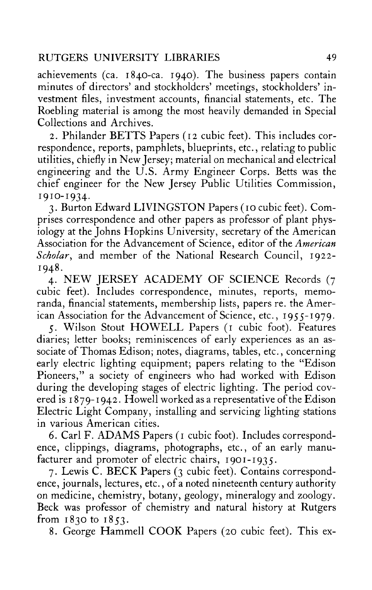achievements (ca. 1840-ca. 1940). The business papers contain minutes of directors' and stockholders' meetings, stockholders' investment files, investment accounts, financial statements, etc. The Roebling material is among the most heavily demanded in Special Collections and Archives.

2. Philander BETTS Papers (12 cubic feet). This includes correspondence, reports, pamphlets, blueprints, etc., relating to public utilities, chiefly in New Jersey; material on mechanical and electrical engineering and the U.S. Army Engineer Corps. Betts was the chief engineer for the New Jersey Public Utilities Commission, 1910-1934.

3. Burton Edward LIVINGSTON Papers (10 cubic feet). Comprises correspondence and other papers as professor of plant physiology at the Johns Hopkins University, secretary of the American Association for the Advancement of Science, editor of the *American Scholar*, and member of the National Research Council, 1922- 1948.

4. NEW JERSEY ACADEMY OF SCIENCE Records (7 cubic feet). Includes correspondence, minutes, reports, memoranda, financial statements, membership lists, papers re. the American Association for the Advancement of Science, etc., 1955-1979.

5. Wilson Stout HOWELL Papers (1 cubic foot). Features diaries; letter books; reminiscences of early experiences as an associate of Thomas Edison; notes, diagrams, tables, etc., concerning early electric lighting equipment; papers relating to the "Edison Pioneers," a society of engineers who had worked with Edison during the developing stages of electric lighting. The period covered is 1879-1942. Howell worked as a representative of the Edison Electric Light Company, installing and servicing lighting stations in various American cities.

6. Carl F. ADAMS Papers (1 cubic foot). Includes correspondence, clippings, diagrams, photographs, etc., of an early manufacturer and promoter of electric chairs, 1901-1935.

7. Lewis C. BECK Papers (3 cubic feet). Contains correspondence, journals, lectures, etc., of a noted nineteenth century authority on medicine, chemistry, botany, geology, mineralogy and zoology. Beck was professor of chemistry and natural history at Rutgers from 1830 to 1853.

8. George Hammell COOK Papers (20 cubic feet). This ex-